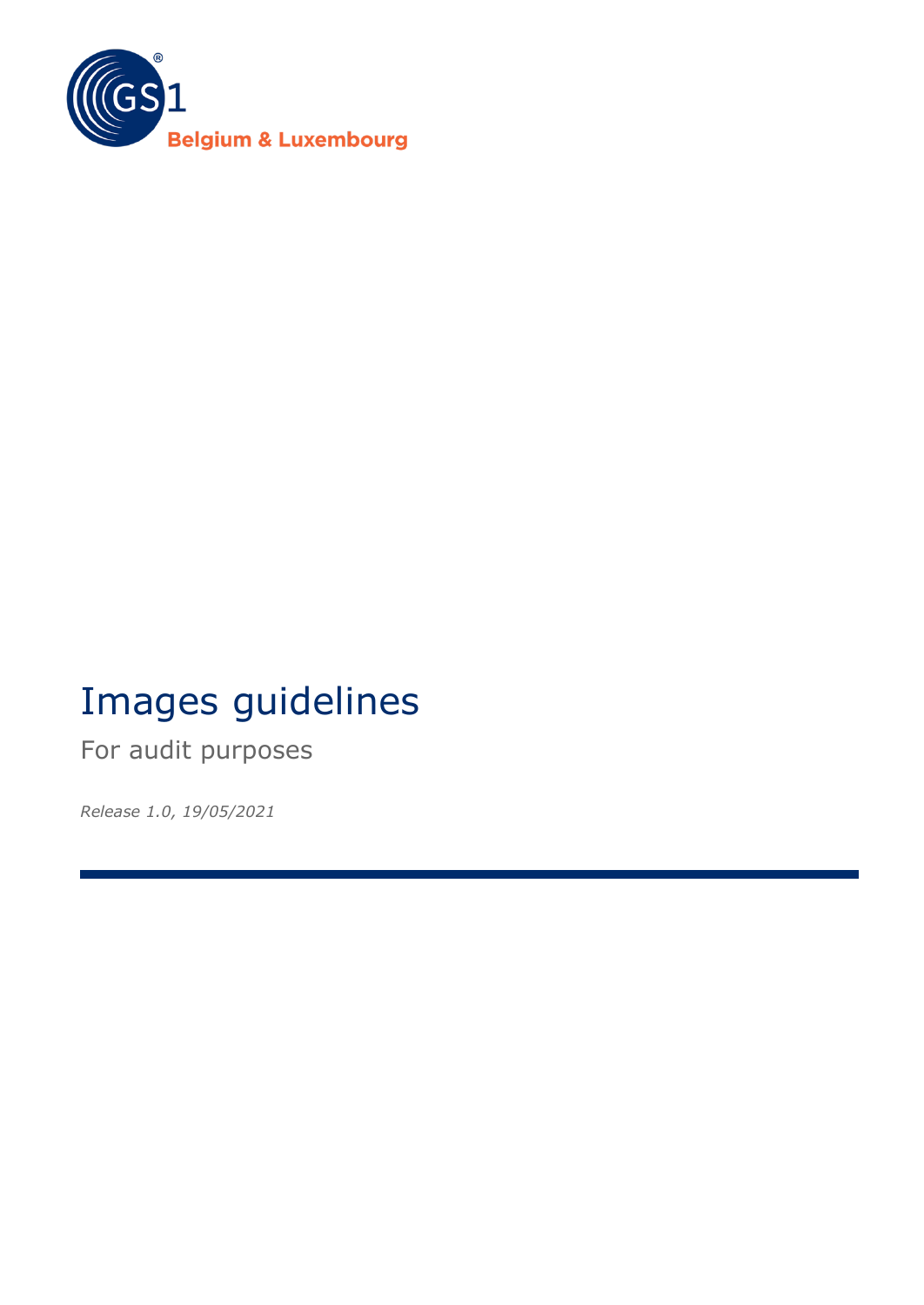

# Images guidelines

For audit purposes

*Release 1.0, 19/05/2021*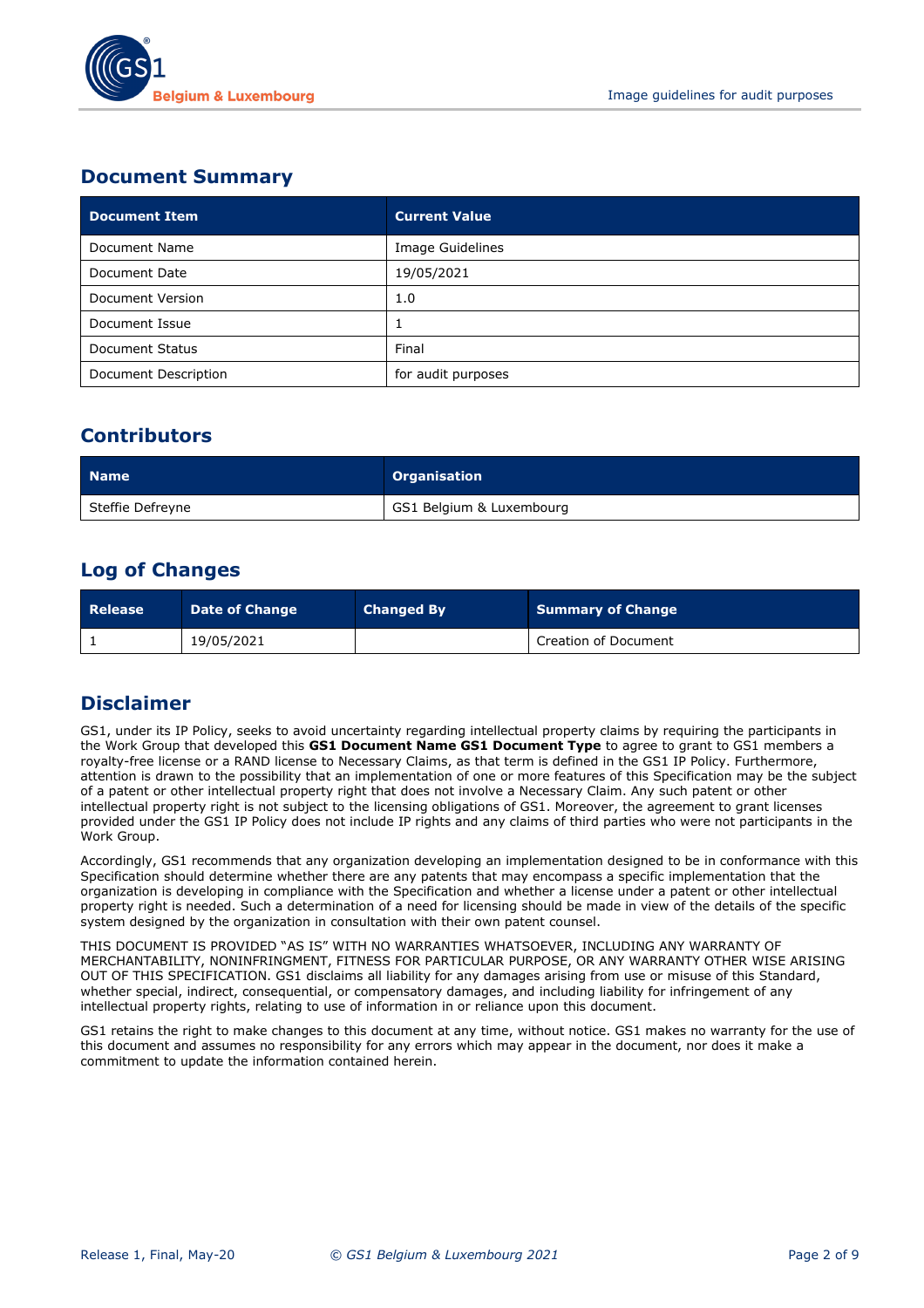

## **Document Summary**

| <b>Document Item</b> | <b>Current Value</b> |
|----------------------|----------------------|
| Document Name        | Image Guidelines     |
| Document Date        | 19/05/2021           |
| Document Version     | 1.0                  |
| Document Issue       |                      |
| Document Status      | Final                |
| Document Description | for audit purposes   |

## **Contributors**

| <b>Name</b>      | <b>Organisation</b>      |
|------------------|--------------------------|
| Steffie Defreyne | GS1 Belgium & Luxembourg |

## **Log of Changes**

| Release | <b>Date of Change</b> | <b>Changed By</b> | Summary of Change           |
|---------|-----------------------|-------------------|-----------------------------|
|         | 19/05/2021            |                   | <b>Creation of Document</b> |

## **Disclaimer**

GS1, under its IP Policy, seeks to avoid uncertainty regarding intellectual property claims by requiring the participants in the Work Group that developed this **GS1 Document Name GS1 Document Type** to agree to grant to GS1 members a royalty-free license or a RAND license to Necessary Claims, as that term is defined in the GS1 IP Policy. Furthermore, attention is drawn to the possibility that an implementation of one or more features of this Specification may be the subject of a patent or other intellectual property right that does not involve a Necessary Claim. Any such patent or other intellectual property right is not subject to the licensing obligations of GS1. Moreover, the agreement to grant licenses provided under the GS1 IP Policy does not include IP rights and any claims of third parties who were not participants in the Work Group.

Accordingly, GS1 recommends that any organization developing an implementation designed to be in conformance with this Specification should determine whether there are any patents that may encompass a specific implementation that the organization is developing in compliance with the Specification and whether a license under a patent or other intellectual property right is needed. Such a determination of a need for licensing should be made in view of the details of the specific system designed by the organization in consultation with their own patent counsel.

THIS DOCUMENT IS PROVIDED "AS IS" WITH NO WARRANTIES WHATSOEVER, INCLUDING ANY WARRANTY OF MERCHANTABILITY, NONINFRINGMENT, FITNESS FOR PARTICULAR PURPOSE, OR ANY WARRANTY OTHER WISE ARISING OUT OF THIS SPECIFICATION. GS1 disclaims all liability for any damages arising from use or misuse of this Standard, whether special, indirect, consequential, or compensatory damages, and including liability for infringement of any intellectual property rights, relating to use of information in or reliance upon this document.

GS1 retains the right to make changes to this document at any time, without notice. GS1 makes no warranty for the use of this document and assumes no responsibility for any errors which may appear in the document, nor does it make a commitment to update the information contained herein.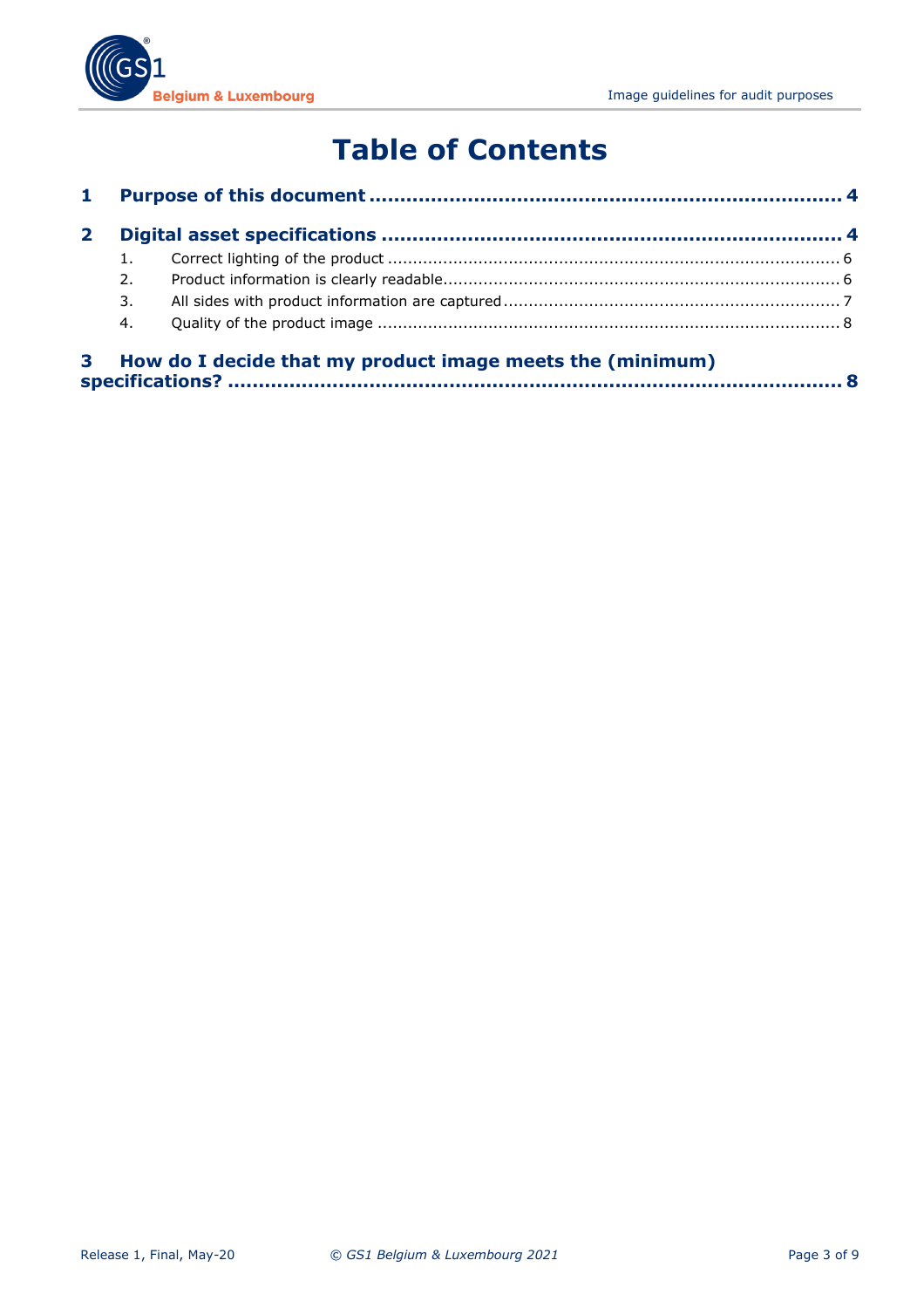

## **Table of Contents**

| 2. |                                                           |  |
|----|-----------------------------------------------------------|--|
| 3. |                                                           |  |
| 4. |                                                           |  |
|    | How do I decide that my product image meets the (minimum) |  |

**specifications? [....................................................................................................](#page-7-1) 8**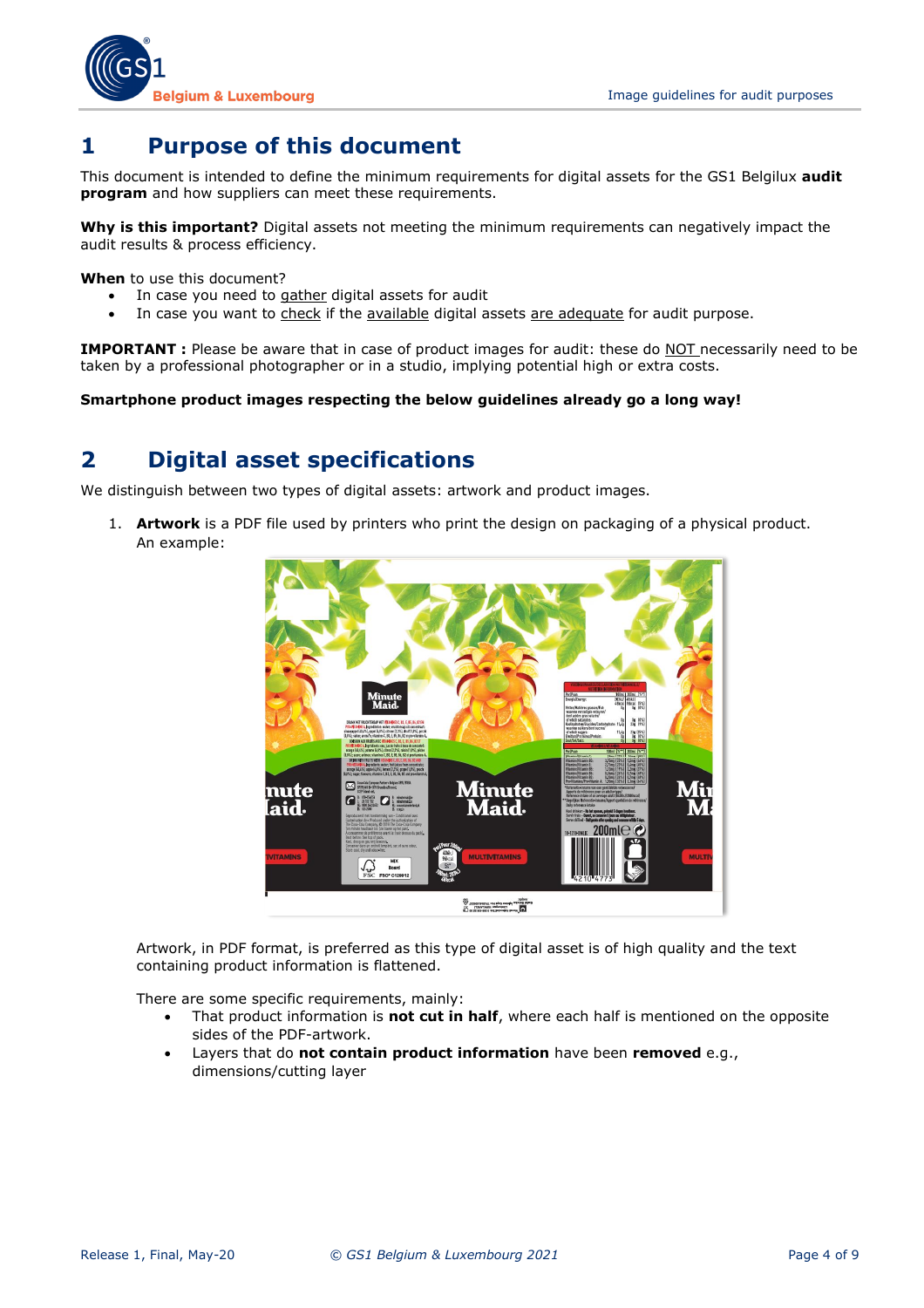

## <span id="page-3-0"></span>**1 Purpose of this document**

This document is intended to define the minimum requirements for digital assets for the GS1 Belgilux **audit program** and how suppliers can meet these requirements.

**Why is this important?** Digital assets not meeting the minimum requirements can negatively impact the audit results & process efficiency.

**When** to use this document?

- In case you need to gather digital assets for audit
- In case you want to check if the available digital assets are adequate for audit purpose.

**IMPORTANT :** Please be aware that in case of product images for audit: these do NOT necessarily need to be taken by a professional photographer or in a studio, implying potential high or extra costs.

<span id="page-3-1"></span>**Smartphone product images respecting the below guidelines already go a long way!**

## **2 Digital asset specifications**

We distinguish between two types of digital assets: artwork and product images.

1. **Artwork** is a PDF file used by printers who print the design on packaging of a physical product. An example:



Artwork, in PDF format, is preferred as this type of digital asset is of high quality and the text containing product information is flattened.

There are some specific requirements, mainly:

- That product information is **not cut in half**, where each half is mentioned on the opposite sides of the PDF-artwork.
- Layers that do **not contain product information** have been **removed** e.g., dimensions/cutting layer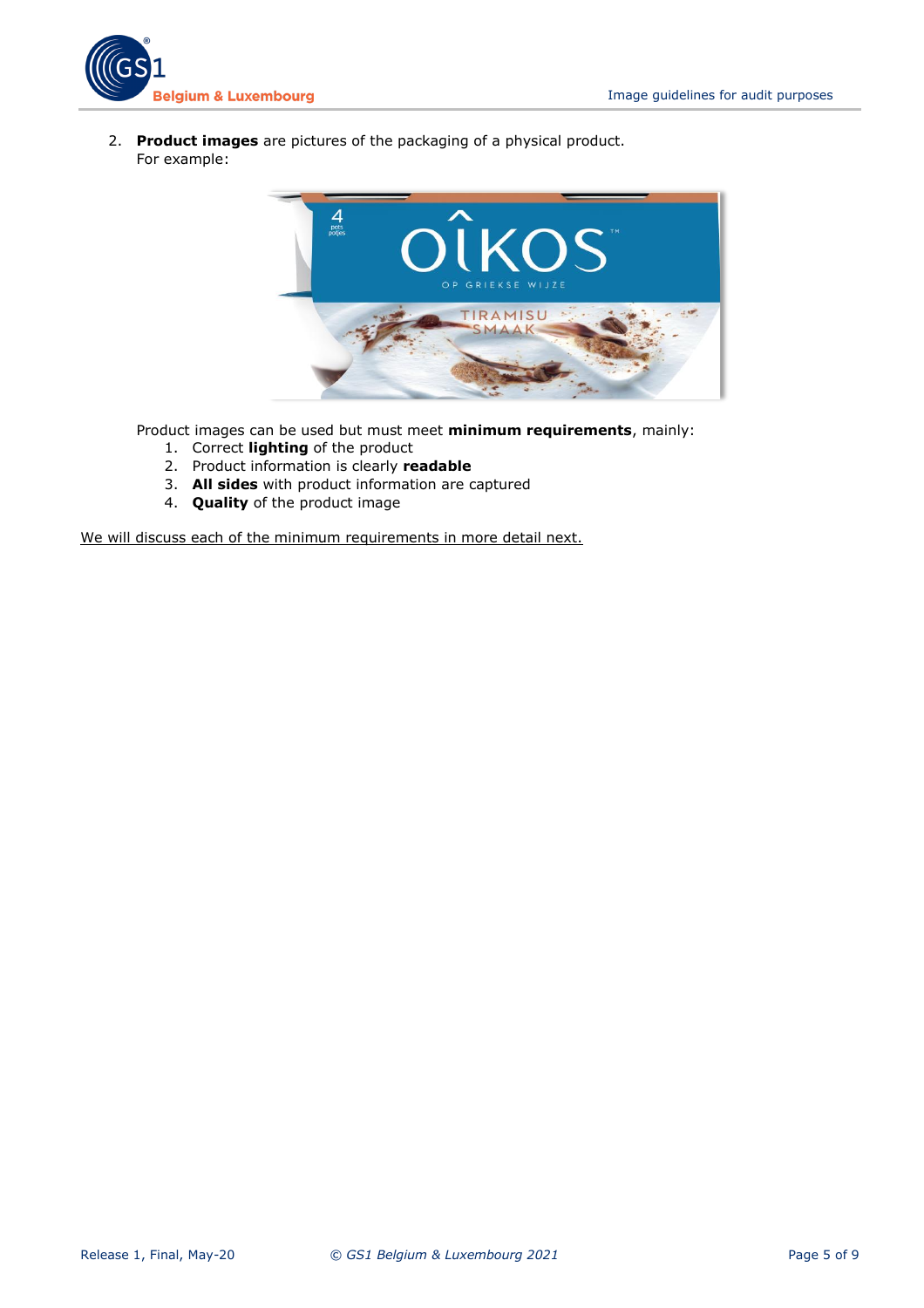

2. **Product images** are pictures of the packaging of a physical product. For example:



Product images can be used but must meet **minimum requirements**, mainly:

- 1. Correct **lighting** of the product
- 2. Product information is clearly **readable**
- 3. **All sides** with product information are captured
- 4. **Quality** of the product image

We will discuss each of the minimum requirements in more detail next.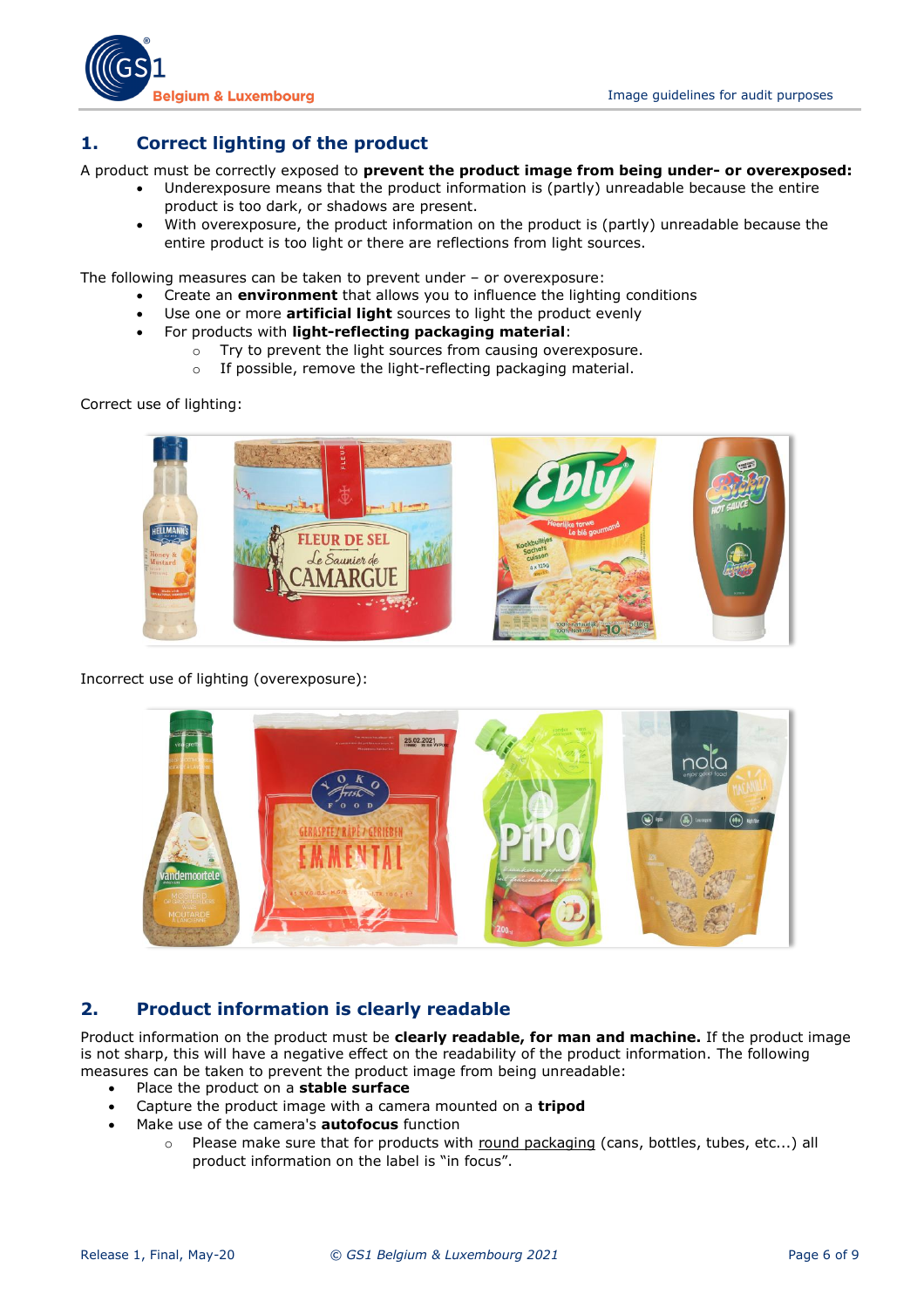

#### <span id="page-5-0"></span>**1. Correct lighting of the product**

A product must be correctly exposed to **prevent the product image from being under- or overexposed:** 

- Underexposure means that the product information is (partly) unreadable because the entire product is too dark, or shadows are present.
- With overexposure, the product information on the product is (partly) unreadable because the entire product is too light or there are reflections from light sources.

The following measures can be taken to prevent under – or overexposure:

- Create an **environment** that allows you to influence the lighting conditions
- Use one or more **artificial light** sources to light the product evenly
- For products with **light-reflecting packaging material**:
	- o Try to prevent the light sources from causing overexposure.
	- o If possible, remove the light-reflecting packaging material.

Correct use of lighting:



Incorrect use of lighting (overexposure):



#### <span id="page-5-1"></span>**2. Product information is clearly readable**

Product information on the product must be **clearly readable, for man and machine.** If the product image is not sharp, this will have a negative effect on the readability of the product information. The following measures can be taken to prevent the product image from being unreadable:

- Place the product on a **stable surface**
- Capture the product image with a camera mounted on a **tripod**
- Make use of the camera's **autofocus** function
	- o Please make sure that for products with round packaging (cans, bottles, tubes, etc...) all product information on the label is "in focus".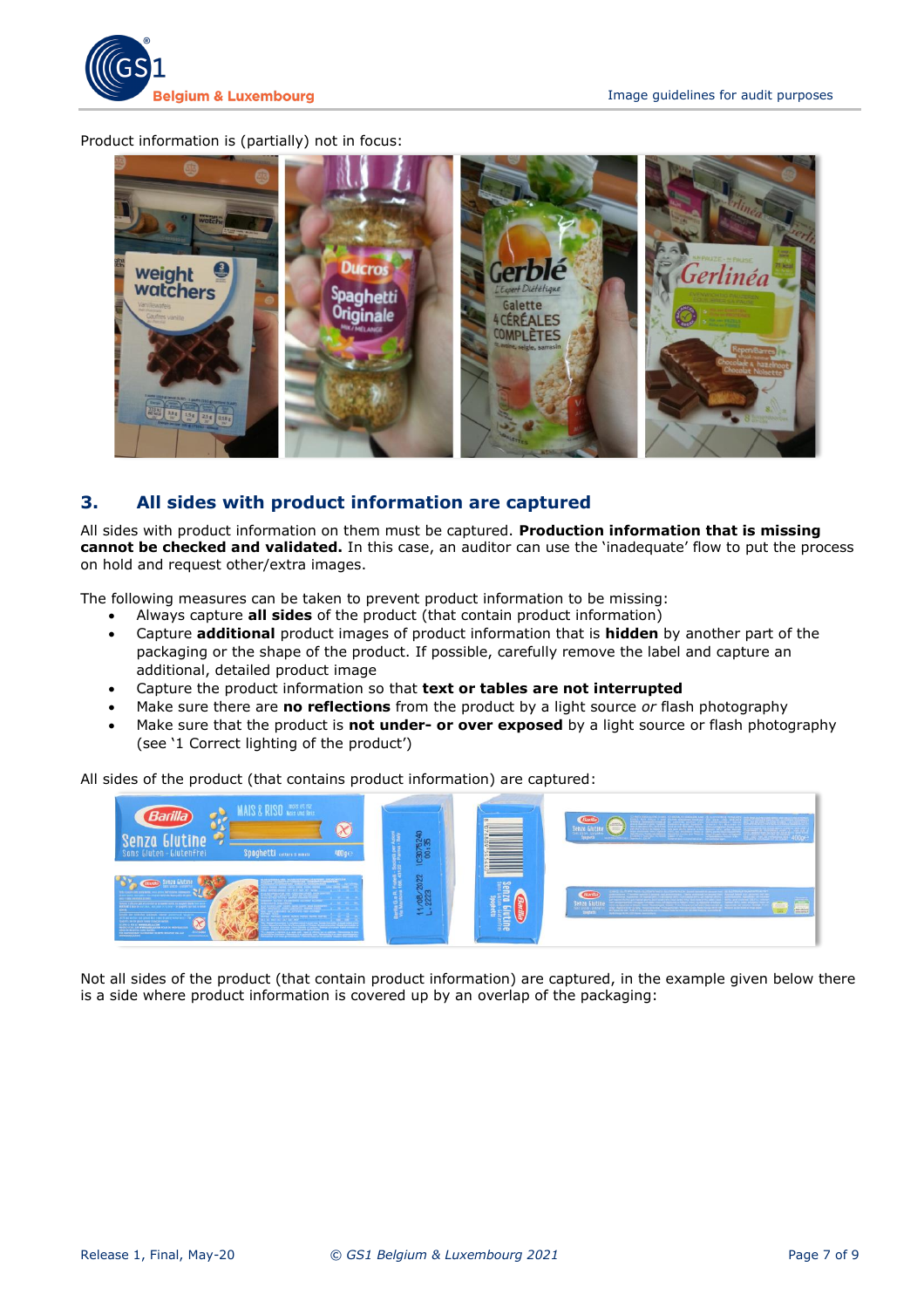

Product information is (partially) not in focus:



#### <span id="page-6-0"></span>**3. All sides with product information are captured**

All sides with product information on them must be captured. **Production information that is missing cannot be checked and validated.** In this case, an auditor can use the 'inadequate' flow to put the process on hold and request other/extra images.

The following measures can be taken to prevent product information to be missing:

- Always capture **all sides** of the product (that contain product information)
- Capture **additional** product images of product information that is **hidden** by another part of the packaging or the shape of the product. If possible, carefully remove the label and capture an additional, detailed product image
- Capture the product information so that **text or tables are not interrupted**
- Make sure there are **no reflections** from the product by a light source *or* flash photography
- Make sure that the product is **not under- or over exposed** by a light source or flash photography (see '1 Correct lighting of the product')

All sides of the product (that contains product information) are captured:



Not all sides of the product (that contain product information) are captured, in the example given below there is a side where product information is covered up by an overlap of the packaging: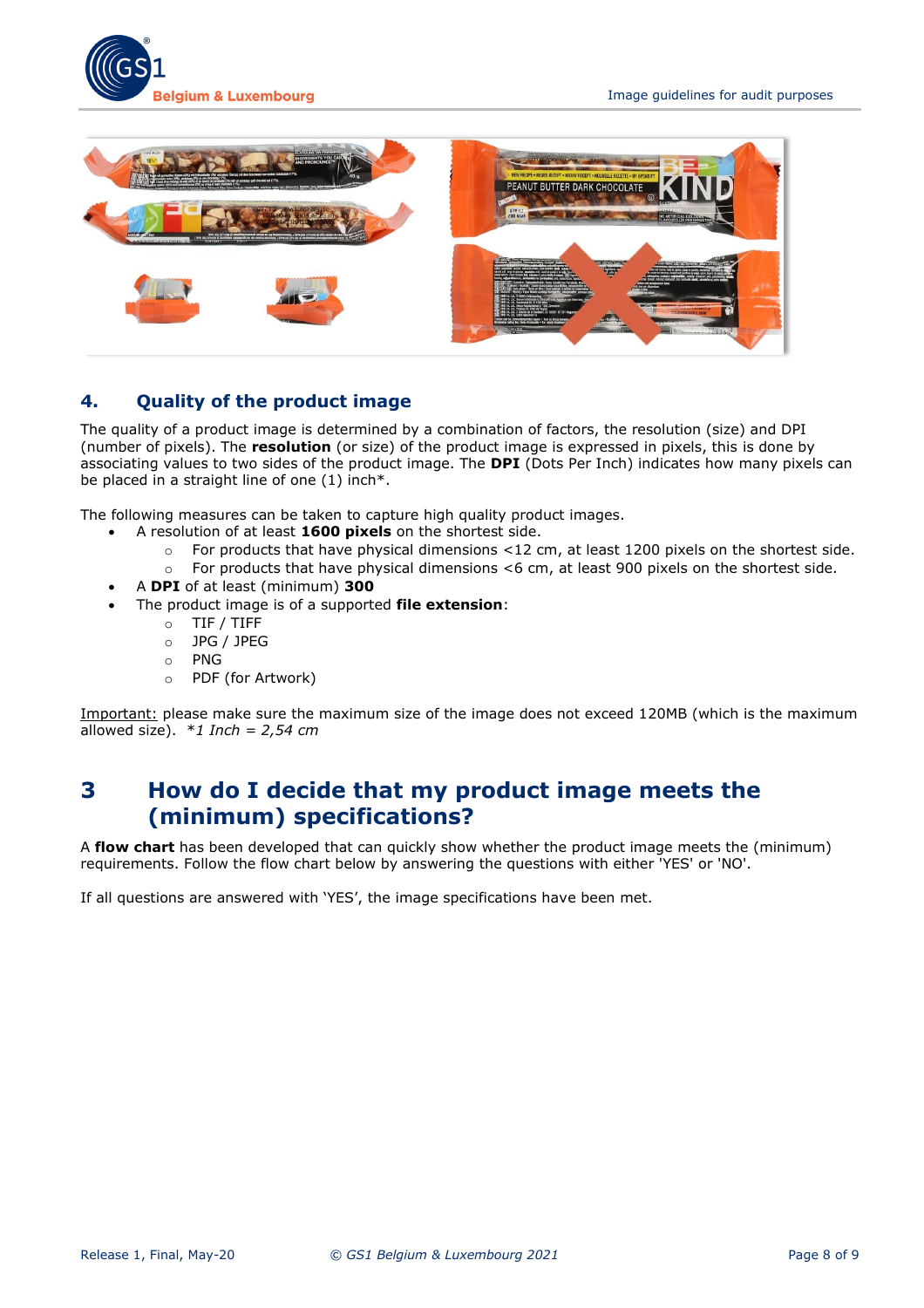



## <span id="page-7-0"></span>**4. Quality of the product image**

The quality of a product image is determined by a combination of factors, the resolution (size) and DPI (number of pixels). The **resolution** (or size) of the product image is expressed in pixels, this is done by associating values to two sides of the product image. The **DPI** (Dots Per Inch) indicates how many pixels can be placed in a straight line of one (1) inch\*.

The following measures can be taken to capture high quality product images.

- A resolution of at least **1600 pixels** on the shortest side.
	- o For products that have physical dimensions <12 cm, at least 1200 pixels on the shortest side.
	- $\circ$  For products that have physical dimensions <6 cm, at least 900 pixels on the shortest side.
- A **DPI** of at least (minimum) **300**
- The product image is of a supported **file extension**:
	- o TIF / TIFF
	- o JPG / JPEG
	- o PNG
	- o PDF (for Artwork)

<span id="page-7-1"></span>Important: please make sure the maximum size of the image does not exceed 120MB (which is the maximum allowed size). \**1 Inch = 2,54 cm*

## **3 How do I decide that my product image meets the (minimum) specifications?**

A **flow chart** has been developed that can quickly show whether the product image meets the (minimum) requirements. Follow the flow chart below by answering the questions with either 'YES' or 'NO'.

If all questions are answered with 'YES', the image specifications have been met.